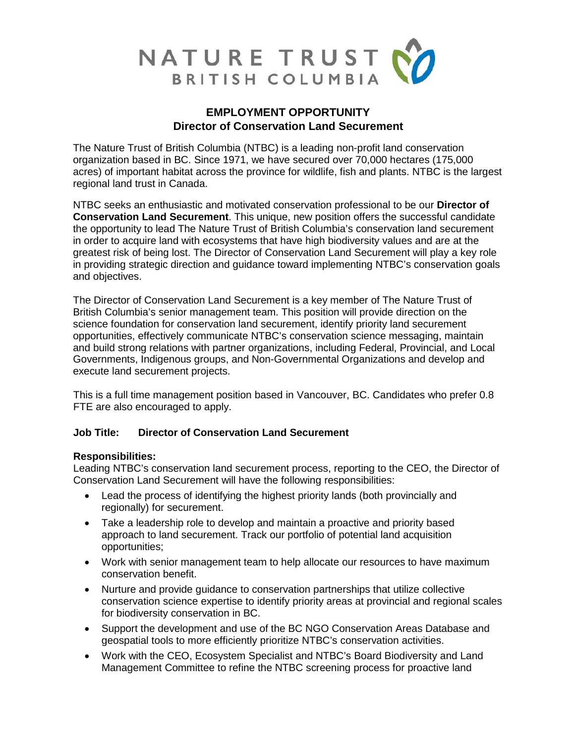

# **EMPLOYMENT OPPORTUNITY Director of Conservation Land Securement**

The Nature Trust of British Columbia (NTBC) is a leading non-profit land conservation organization based in BC. Since 1971, we have secured over 70,000 hectares (175,000 acres) of important habitat across the province for wildlife, fish and plants. NTBC is the largest regional land trust in Canada.

NTBC seeks an enthusiastic and motivated conservation professional to be our **Director of Conservation Land Securement**. This unique, new position offers the successful candidate the opportunity to lead The Nature Trust of British Columbia's conservation land securement in order to acquire land with ecosystems that have high biodiversity values and are at the greatest risk of being lost. The Director of Conservation Land Securement will play a key role in providing strategic direction and guidance toward implementing NTBC's conservation goals and objectives.

The Director of Conservation Land Securement is a key member of The Nature Trust of British Columbia's senior management team. This position will provide direction on the science foundation for conservation land securement, identify priority land securement opportunities, effectively communicate NTBC's conservation science messaging, maintain and build strong relations with partner organizations, including Federal, Provincial, and Local Governments, Indigenous groups, and Non-Governmental Organizations and develop and execute land securement projects.

This is a full time management position based in Vancouver, BC. Candidates who prefer 0.8 FTE are also encouraged to apply.

## **Job Title: Director of Conservation Land Securement**

### **Responsibilities:**

Leading NTBC's conservation land securement process, reporting to the CEO, the Director of Conservation Land Securement will have the following responsibilities:

- Lead the process of identifying the highest priority lands (both provincially and regionally) for securement.
- Take a leadership role to develop and maintain a proactive and priority based approach to land securement. Track our portfolio of potential land acquisition opportunities;
- Work with senior management team to help allocate our resources to have maximum conservation benefit.
- Nurture and provide guidance to conservation partnerships that utilize collective conservation science expertise to identify priority areas at provincial and regional scales for biodiversity conservation in BC.
- Support the development and use of the BC NGO Conservation Areas Database and geospatial tools to more efficiently prioritize NTBC's conservation activities.
- Work with the CEO, Ecosystem Specialist and NTBC's Board Biodiversity and Land Management Committee to refine the NTBC screening process for proactive land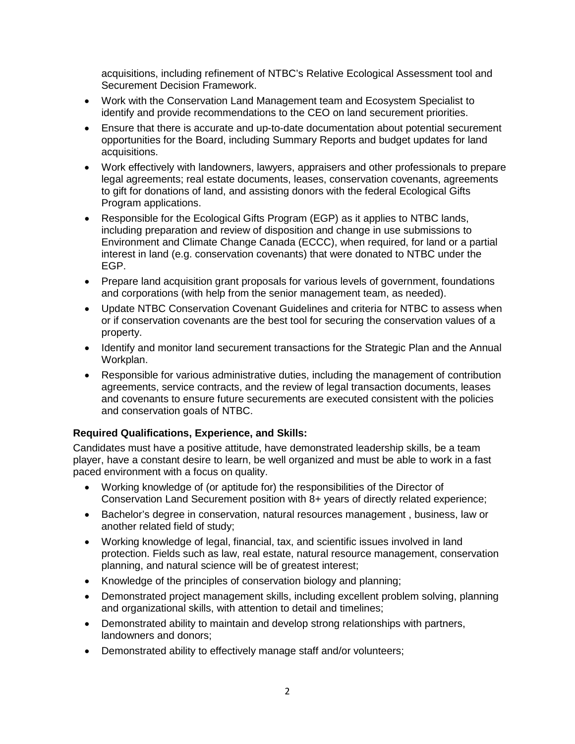acquisitions, including refinement of NTBC's Relative Ecological Assessment tool and Securement Decision Framework.

- Work with the Conservation Land Management team and Ecosystem Specialist to identify and provide recommendations to the CEO on land securement priorities.
- Ensure that there is accurate and up-to-date documentation about potential securement opportunities for the Board, including Summary Reports and budget updates for land acquisitions.
- Work effectively with landowners, lawyers, appraisers and other professionals to prepare legal agreements; real estate documents, leases, conservation covenants, agreements to gift for donations of land, and assisting donors with the federal Ecological Gifts Program applications.
- Responsible for the Ecological Gifts Program (EGP) as it applies to NTBC lands, including preparation and review of disposition and change in use submissions to Environment and Climate Change Canada (ECCC), when required, for land or a partial interest in land (e.g. conservation covenants) that were donated to NTBC under the EGP.
- Prepare land acquisition grant proposals for various levels of government, foundations and corporations (with help from the senior management team, as needed).
- Update NTBC Conservation Covenant Guidelines and criteria for NTBC to assess when or if conservation covenants are the best tool for securing the conservation values of a property.
- Identify and monitor land securement transactions for the Strategic Plan and the Annual Workplan.
- Responsible for various administrative duties, including the management of contribution agreements, service contracts, and the review of legal transaction documents, leases and covenants to ensure future securements are executed consistent with the policies and conservation goals of NTBC.

## **Required Qualifications, Experience, and Skills:**

Candidates must have a positive attitude, have demonstrated leadership skills, be a team player, have a constant desire to learn, be well organized and must be able to work in a fast paced environment with a focus on quality.

- Working knowledge of (or aptitude for) the responsibilities of the Director of Conservation Land Securement position with 8+ years of directly related experience;
- Bachelor's degree in conservation, natural resources management , business, law or another related field of study;
- Working knowledge of legal, financial, tax, and scientific issues involved in land protection. Fields such as law, real estate, natural resource management, conservation planning, and natural science will be of greatest interest;
- Knowledge of the principles of conservation biology and planning;
- Demonstrated project management skills, including excellent problem solving, planning and organizational skills, with attention to detail and timelines;
- Demonstrated ability to maintain and develop strong relationships with partners, landowners and donors;
- Demonstrated ability to effectively manage staff and/or volunteers;